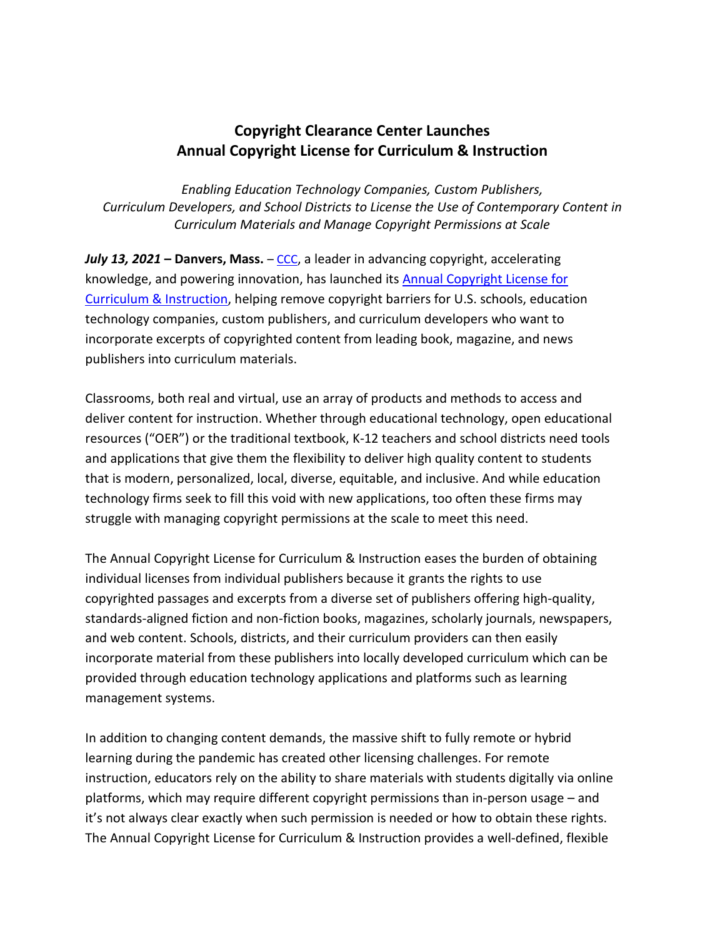## **Copyright Clearance Center Launches Annual Copyright License for Curriculum & Instruction**

*Enabling Education Technology Companies, Custom Publishers, Curriculum Developers, and School Districts to License the Use of Contemporary Content in Curriculum Materials and Manage Copyright Permissions at Scale*

*July* **13, 2021 – Danvers, Mass.** – [CCC](http://www.copyright.com/), a leader in advancing copyright, accelerating knowledge, and powering innovation, has launched its [Annual Copyright License for](https://www.copyright.com/annual-copyright-license-for-curriculum-instruction/)  [Curriculum & Instruction,](https://www.copyright.com/annual-copyright-license-for-curriculum-instruction/) helping remove copyright barriers for U.S. schools, education technology companies, custom publishers, and curriculum developers who want to incorporate excerpts of copyrighted content from leading book, magazine, and news publishers into curriculum materials.

Classrooms, both real and virtual, use an array of products and methods to access and deliver content for instruction. Whether through educational technology, open educational resources ("OER") or the traditional textbook, K-12 teachers and school districts need tools and applications that give them the flexibility to deliver high quality content to students that is modern, personalized, local, diverse, equitable, and inclusive. And while education technology firms seek to fill this void with new applications, too often these firms may struggle with managing copyright permissions at the scale to meet this need.

The Annual Copyright License for Curriculum & Instruction eases the burden of obtaining individual licenses from individual publishers because it grants the rights to use copyrighted passages and excerpts from a diverse set of publishers offering high-quality, standards-aligned fiction and non-fiction books, magazines, scholarly journals, newspapers, and web content. Schools, districts, and their curriculum providers can then easily incorporate material from these publishers into locally developed curriculum which can be provided through education technology applications and platforms such as learning management systems.

In addition to changing content demands, the massive shift to fully remote or hybrid learning during the pandemic has created other licensing challenges. For remote instruction, educators rely on the ability to share materials with students digitally via online platforms, which may require different copyright permissions than in-person usage – and it's not always clear exactly when such permission is needed or how to obtain these rights. The Annual Copyright License for Curriculum & Instruction provides a well-defined, flexible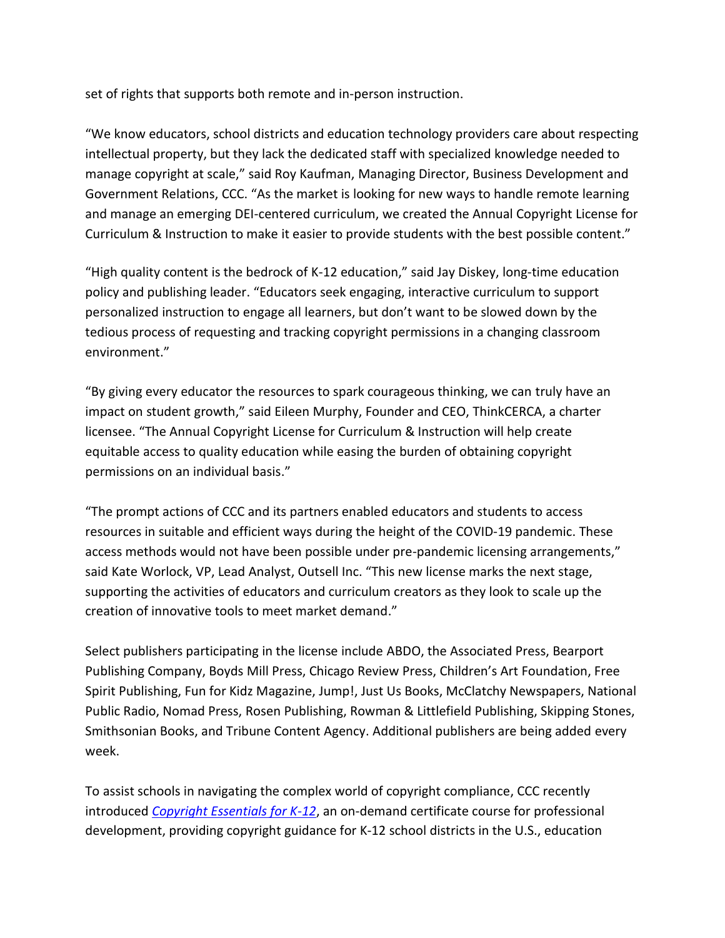set of rights that supports both remote and in-person instruction.

"We know educators, school districts and education technology providers care about respecting intellectual property, but they lack the dedicated staff with specialized knowledge needed to manage copyright at scale," said Roy Kaufman, Managing Director, Business Development and Government Relations, CCC. "As the market is looking for new ways to handle remote learning and manage an emerging DEI-centered curriculum, we created the Annual Copyright License for Curriculum & Instruction to make it easier to provide students with the best possible content."

"High quality content is the bedrock of K-12 education," said Jay Diskey, long-time education policy and publishing leader. "Educators seek engaging, interactive curriculum to support personalized instruction to engage all learners, but don't want to be slowed down by the tedious process of requesting and tracking copyright permissions in a changing classroom environment."

"By giving every educator the resources to spark courageous thinking, we can truly have an impact on student growth," said Eileen Murphy, Founder and CEO, ThinkCERCA, a charter licensee. "The Annual Copyright License for Curriculum & Instruction will help create equitable access to quality education while easing the burden of obtaining copyright permissions on an individual basis."

"The prompt actions of CCC and its partners enabled educators and students to access resources in suitable and efficient ways during the height of the COVID-19 pandemic. These access methods would not have been possible under pre-pandemic licensing arrangements," said Kate Worlock, VP, Lead Analyst, Outsell Inc. "This new license marks the next stage, supporting the activities of educators and curriculum creators as they look to scale up the creation of innovative tools to meet market demand."

Select publishers participating in the license include ABDO, the Associated Press, Bearport Publishing Company, Boyds Mill Press, Chicago Review Press, Children's Art Foundation, Free Spirit Publishing, Fun for Kidz Magazine, Jump!, Just Us Books, McClatchy Newspapers, National Public Radio, Nomad Press, Rosen Publishing, Rowman & Littlefield Publishing, Skipping Stones, Smithsonian Books, and Tribune Content Agency. Additional publishers are being added every week.

To assist schools in navigating the complex world of copyright compliance, CCC recently introduced *[Copyright Essentials for K-12](https://web.cvent.com/event/5de949b0-9286-45d8-9990-7a88a260b8a4/summary)*, an on-demand certificate course for professional development, providing copyright guidance for K-12 school districts in the U.S., education